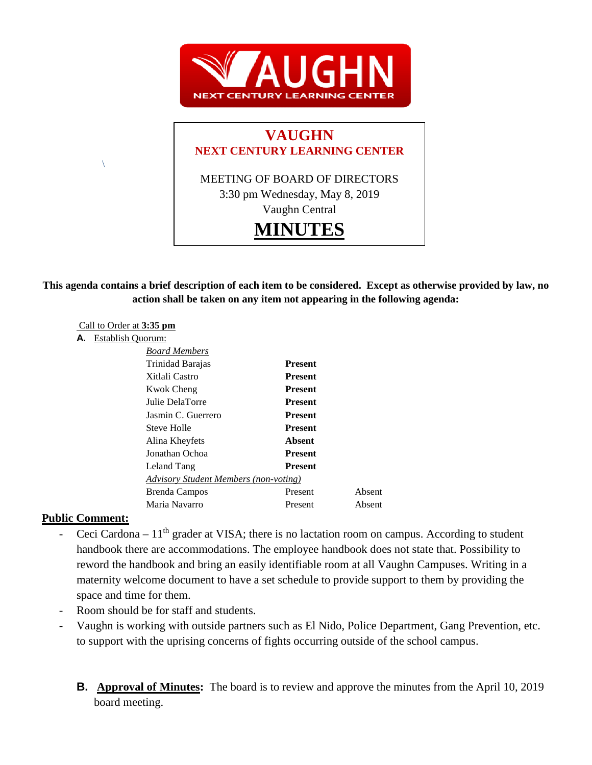

# **VAUGHN NEXT CENTURY LEARNING CENTER**

MEETING OF BOARD OF DIRECTORS 3:30 pm Wednesday, May 8, 2019 Vaughn Central **MINUTES**

## **This agenda contains a brief description of each item to be considered. Except as otherwise provided by law, no action shall be taken on any item not appearing in the following agenda:**

#### Call to Order at **3:35 pm**

#### **A.** Establish Quorum:

 $\setminus$ 

| <b>Board Members</b>                         |                |        |
|----------------------------------------------|----------------|--------|
| Trinidad Barajas                             | <b>Present</b> |        |
| Xitlali Castro                               | <b>Present</b> |        |
| Kwok Cheng                                   | <b>Present</b> |        |
| Julie DelaTorre                              | <b>Present</b> |        |
| Jasmin C. Guerrero                           | <b>Present</b> |        |
| Steve Holle                                  | <b>Present</b> |        |
| Alina Kheyfets                               | Absent         |        |
| Jonathan Ochoa                               | <b>Present</b> |        |
| Leland Tang                                  | Present        |        |
| <b>Advisory Student Members (non-voting)</b> |                |        |
| Brenda Campos                                | Present        | Absent |
| Maria Navarro                                | Present        | Absent |
|                                              |                |        |

#### **Public Comment:**

- Ceci Cardona  $11<sup>th</sup>$  grader at VISA; there is no lactation room on campus. According to student handbook there are accommodations. The employee handbook does not state that. Possibility to reword the handbook and bring an easily identifiable room at all Vaughn Campuses. Writing in a maternity welcome document to have a set schedule to provide support to them by providing the space and time for them.
- Room should be for staff and students.
- Vaughn is working with outside partners such as El Nido, Police Department, Gang Prevention, etc. to support with the uprising concerns of fights occurring outside of the school campus.
	- **B.** Approval of Minutes: The board is to review and approve the minutes from the April 10, 2019 board meeting.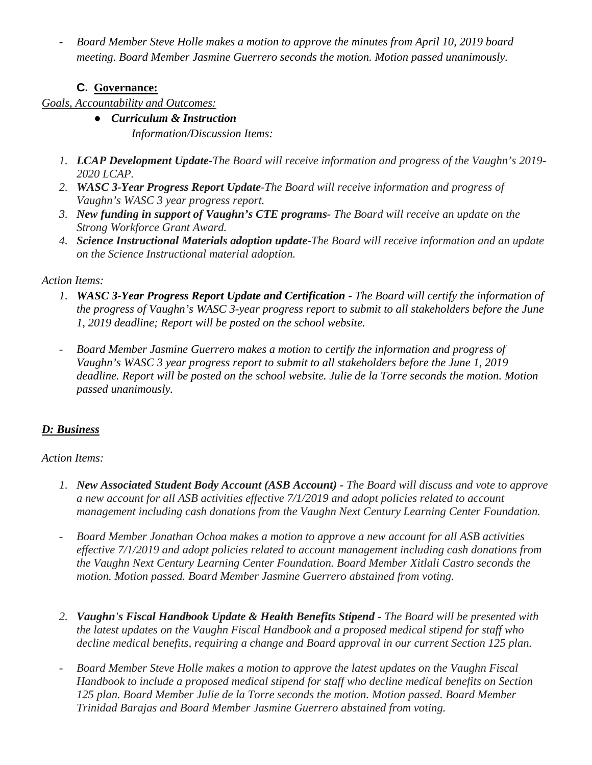- *Board Member Steve Holle makes a motion to approve the minutes from April 10, 2019 board meeting. Board Member Jasmine Guerrero seconds the motion. Motion passed unanimously.* 

# **C. Governance:**

# *Goals, Accountability and Outcomes:*

- *Curriculum & Instruction Information/Discussion Items:*
- *1. LCAP Development Update-The Board will receive information and progress of the Vaughn's 2019- 2020 LCAP.*
- *2. WASC 3-Year Progress Report Update-The Board will receive information and progress of Vaughn's WASC 3 year progress report.*
- *3. New funding in support of Vaughn's CTE programs- The Board will receive an update on the Strong Workforce Grant Award.*
- *4. Science Instructional Materials adoption update-The Board will receive information and an update on the Science Instructional material adoption.*

# *Action Items:*

- *1. WASC 3-Year Progress Report Update and Certification - The Board will certify the information of the progress of Vaughn's WASC 3-year progress report to submit to all stakeholders before the June 1, 2019 deadline; Report will be posted on the school website.*
- *Board Member Jasmine Guerrero makes a motion to certify the information and progress of Vaughn's WASC 3 year progress report to submit to all stakeholders before the June 1, 2019 deadline. Report will be posted on the school website. Julie de la Torre seconds the motion. Motion passed unanimously.*

# *D: Business*

## *Action Items:*

- *1. New Associated Student Body Account (ASB Account) - The Board will discuss and vote to approve a new account for all ASB activities effective 7/1/2019 and adopt policies related to account management including cash donations from the Vaughn Next Century Learning Center Foundation.*
- *Board Member Jonathan Ochoa makes a motion to approve a new account for all ASB activities effective 7/1/2019 and adopt policies related to account management including cash donations from the Vaughn Next Century Learning Center Foundation. Board Member Xitlali Castro seconds the motion. Motion passed. Board Member Jasmine Guerrero abstained from voting.*
- *2. Vaughn's Fiscal Handbook Update & Health Benefits Stipend - The Board will be presented with the latest updates on the Vaughn Fiscal Handbook and a proposed medical stipend for staff who decline medical benefits, requiring a change and Board approval in our current Section 125 plan.*
- *Board Member Steve Holle makes a motion to approve the latest updates on the Vaughn Fiscal Handbook to include a proposed medical stipend for staff who decline medical benefits on Section 125 plan. Board Member Julie de la Torre seconds the motion. Motion passed. Board Member Trinidad Barajas and Board Member Jasmine Guerrero abstained from voting.*